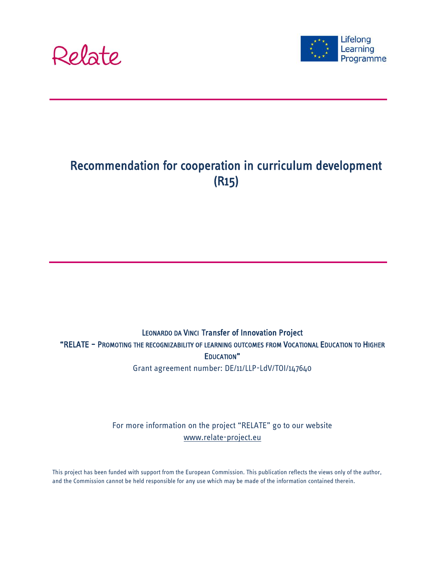



# Recommendation for cooperation in curriculum development (R15)

#### LEONARDO DA VINCI Transfer of Innovation Project "RELATE – PROMOTING THE RECOGNIZABILITY OF LEARNING OUTCOMES FROM VOCATIONAL EDUCATION TO HIGHER EDUCATION" Grant agreement number: DE/11/LLP-LdV/TOI/147640

#### For more information on the project "RELATE" go to our website [www.relate-project.eu](http://www.relate-project.eu/)

This project has been funded with support from the European Commission. This publication reflects the views only of the author, and the Commission cannot be held responsible for any use which may be made of the information contained therein.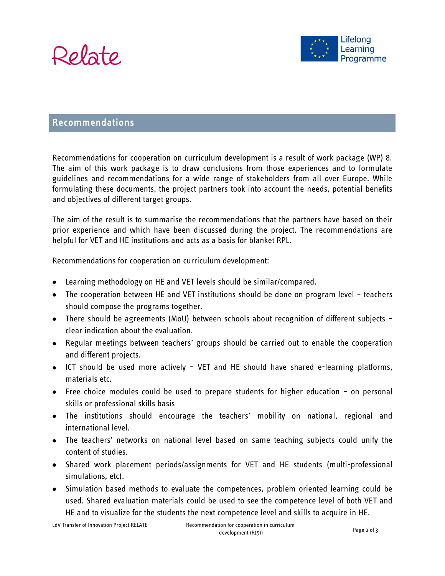

### Recommendations

Recommendations for cooperation on curriculum development is a result of work package (WP) 8. The aim of this work package is to draw conclusions from those experiences and to formulate guidelines and recommendations for a wide range of stakeholders from all over Europe. While formulating these documents, the project partners took into account the needs, potential benefits and objectives of different target groups.

The aim of the result is to summarise the recommendations that the partners have based on their prior experience and which have been discussed during the project. The recommendations are helpful for VET and HE institutions and acts as a basis for blanket RPL.

Recommendations for cooperation on curriculum development:

- Learning methodology on HE and VET levels should be similar/compared.
- The cooperation between HE and VET institutions should be done on program level teachers should compose the programs together.
- There should be agreements (MoU) between schools about recognition of different subjects clear indication about the evaluation.
- Regular meetings between teachers' groups should be carried out to enable the cooperation and different projects.
- ICT should be used more actively VET and HE should have shared e-learning platforms, materials etc.
- Free choice modules could be used to prepare students for higher education on personal skills or professional skills basis
- The institutions should encourage the teachers' mobility on national, regional and international level.
- The teachers' networks on national level based on same teaching subjects could unify the content of studies.
- Shared work placement periods/assignments for VET and HE students (multi-professional simulations, etc).
- Simulation based methods to evaluate the competences, problem oriented learning could be used. Shared evaluation materials could be used to see the competence level of both VET and HE and to visualize for the students the next competence level and skills to acquire in HE.